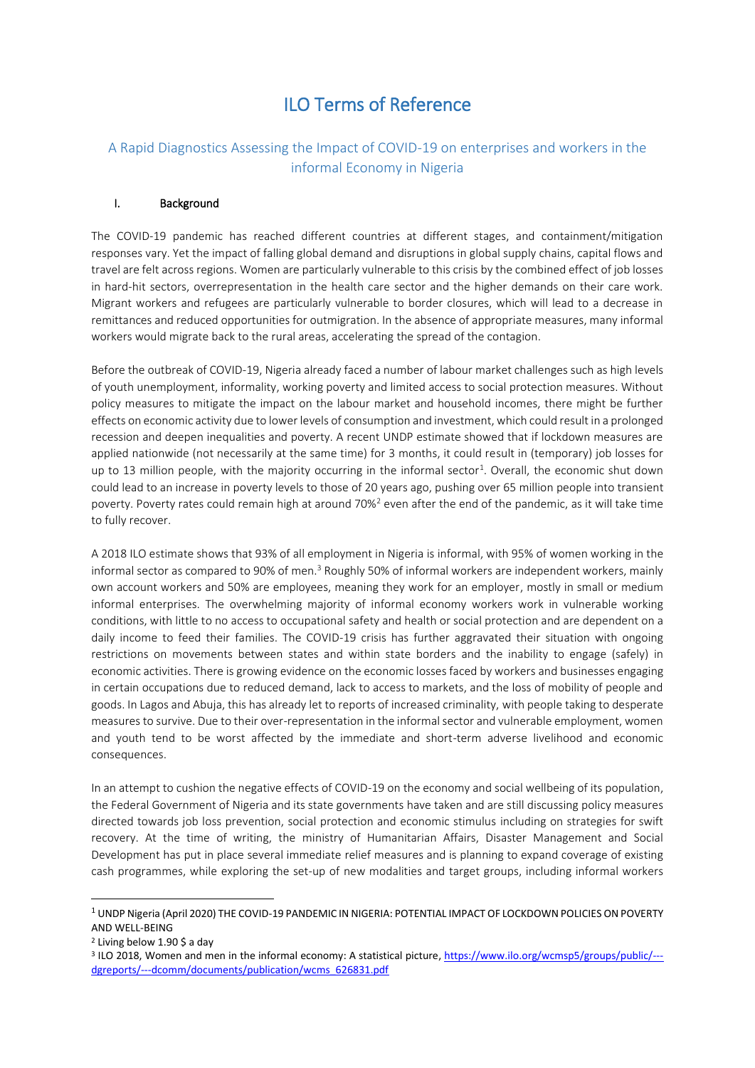# ILO Terms of Reference

# A Rapid Diagnostics Assessing the Impact of COVID-19 on enterprises and workers in the informal Economy in Nigeria

#### I. Background

The COVID-19 pandemic has reached different countries at different stages, and containment/mitigation responses vary. Yet the impact of falling global demand and disruptions in global supply chains, capital flows and travel are felt across regions. Women are particularly vulnerable to this crisis by the combined effect of job losses in hard-hit sectors, overrepresentation in the health care sector and the higher demands on their care work. Migrant workers and refugees are particularly vulnerable to border closures, which will lead to a decrease in remittances and reduced opportunities for outmigration. In the absence of appropriate measures, many informal workers would migrate back to the rural areas, accelerating the spread of the contagion.

Before the outbreak of COVID-19, Nigeria already faced a number of labour market challenges such as high levels of youth unemployment, informality, working poverty and limited access to social protection measures. Without policy measures to mitigate the impact on the labour market and household incomes, there might be further effects on economic activity due to lower levels of consumption and investment, which could result in a prolonged recession and deepen inequalities and poverty. A recent UNDP estimate showed that if lockdown measures are applied nationwide (not necessarily at the same time) for 3 months, it could result in (temporary) job losses for up to 13 million people, with the majority occurring in the informal sector<sup>1</sup>. Overall, the economic shut down could lead to an increase in poverty levels to those of 20 years ago, pushing over 65 million people into transient poverty. Poverty rates could remain high at around  $70\%$ <sup>2</sup> even after the end of the pandemic, as it will take time to fully recover.

A 2018 ILO estimate shows that 93% of all employment in Nigeria is informal, with 95% of women working in the informal sector as compared to 90% of men.<sup>3</sup> Roughly 50% of informal workers are independent workers, mainly own account workers and 50% are employees, meaning they work for an employer, mostly in small or medium informal enterprises. The overwhelming majority of informal economy workers work in vulnerable working conditions, with little to no access to occupational safety and health or social protection and are dependent on a daily income to feed their families. The COVID-19 crisis has further aggravated their situation with ongoing restrictions on movements between states and within state borders and the inability to engage (safely) in economic activities. There is growing evidence on the economic losses faced by workers and businesses engaging in certain occupations due to reduced demand, lack to access to markets, and the loss of mobility of people and goods. In Lagos and Abuja, this has already let to reports of increased criminality, with people taking to desperate measures to survive. Due to their over-representation in the informal sector and vulnerable employment, women and youth tend to be worst affected by the immediate and short-term adverse livelihood and economic consequences.

In an attempt to cushion the negative effects of COVID-19 on the economy and social wellbeing of its population, the Federal Government of Nigeria and its state governments have taken and are still discussing policy measures directed towards job loss prevention, social protection and economic stimulus including on strategies for swift recovery. At the time of writing, the ministry of Humanitarian Affairs, Disaster Management and Social Development has put in place several immediate relief measures and is planning to expand coverage of existing cash programmes, while exploring the set-up of new modalities and target groups, including informal workers

-

<sup>1</sup> UNDP Nigeria (April 2020) THE COVID-19 PANDEMIC IN NIGERIA: POTENTIAL IMPACT OF LOCKDOWN POLICIES ON POVERTY AND WELL-BEING

<sup>2</sup> Living below 1.90 \$ a day

<sup>&</sup>lt;sup>3</sup> ILO 2018, Women and men in the informal economy: A statistical picture[, https://www.ilo.org/wcmsp5/groups/public/--](https://www.ilo.org/wcmsp5/groups/public/---dgreports/---dcomm/documents/publication/wcms_626831.pdf) [dgreports/---dcomm/documents/publication/wcms\\_626831.pdf](https://www.ilo.org/wcmsp5/groups/public/---dgreports/---dcomm/documents/publication/wcms_626831.pdf)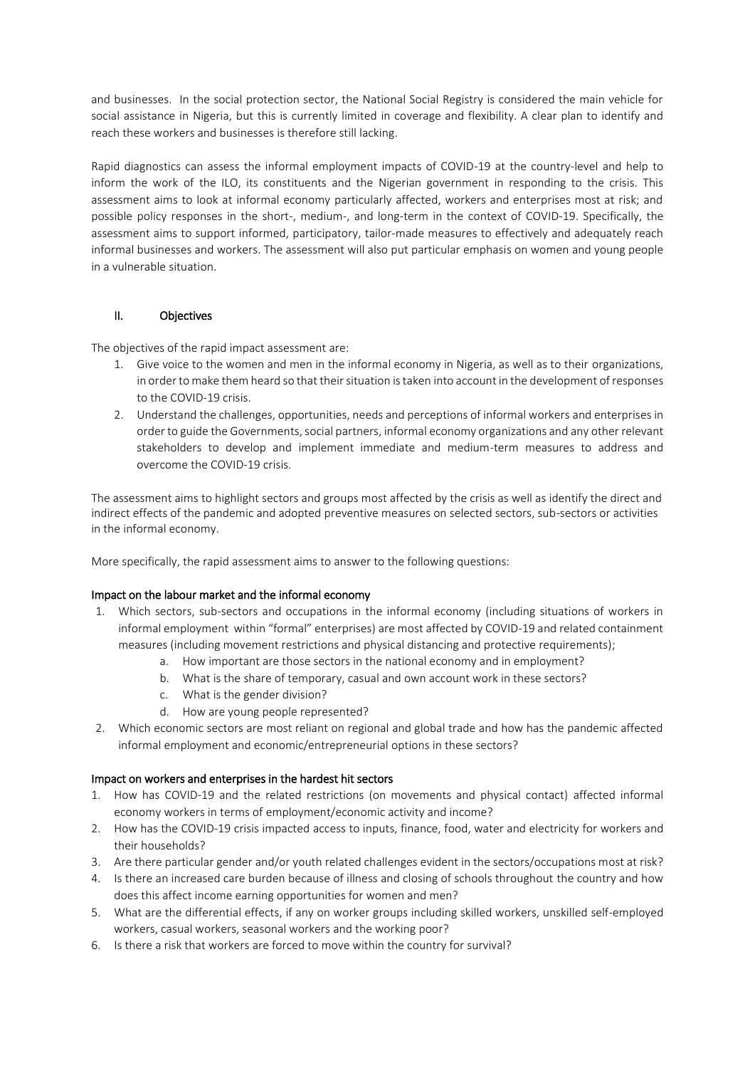and businesses. In the social protection sector, the National Social Registry is considered the main vehicle for social assistance in Nigeria, but this is currently limited in coverage and flexibility. A clear plan to identify and reach these workers and businesses is therefore still lacking.

Rapid diagnostics can assess the informal employment impacts of COVID-19 at the country-level and help to inform the work of the ILO, its constituents and the Nigerian government in responding to the crisis. This assessment aims to look at informal economy particularly affected, workers and enterprises most at risk; and possible policy responses in the short-, medium-, and long-term in the context of COVID-19. Specifically, the assessment aims to support informed, participatory, tailor-made measures to effectively and adequately reach informal businesses and workers. The assessment will also put particular emphasis on women and young people in a vulnerable situation.

# II. Objectives

The objectives of the rapid impact assessment are:

- 1. Give voice to the women and men in the informal economy in Nigeria, as well as to their organizations, in order to make them heard so that their situation is taken into account in the development of responses to the COVID-19 crisis.
- 2. Understand the challenges, opportunities, needs and perceptions of informal workers and enterprises in order to guide the Governments, social partners, informal economy organizations and any other relevant stakeholders to develop and implement immediate and medium-term measures to address and overcome the COVID-19 crisis.

The assessment aims to highlight sectors and groups most affected by the crisis as well as identify the direct and indirect effects of the pandemic and adopted preventive measures on selected sectors, sub-sectors or activities in the informal economy.

More specifically, the rapid assessment aims to answer to the following questions:

# Impact on the labour market and the informal economy

- 1. Which sectors, sub-sectors and occupations in the informal economy (including situations of workers in informal employment within "formal" enterprises) are most affected by COVID-19 and related containment measures (including movement restrictions and physical distancing and protective requirements);
	- a. How important are those sectors in the national economy and in employment?
	- b. What is the share of temporary, casual and own account work in these sectors?
	- c. What is the gender division?
	- d. How are young people represented?
- 2. Which economic sectors are most reliant on regional and global trade and how has the pandemic affected informal employment and economic/entrepreneurial options in these sectors?

# Impact on workers and enterprises in the hardest hit sectors

- 1. How has COVID-19 and the related restrictions (on movements and physical contact) affected informal economy workers in terms of employment/economic activity and income?
- 2. How has the COVID-19 crisis impacted access to inputs, finance, food, water and electricity for workers and their households?
- 3. Are there particular gender and/or youth related challenges evident in the sectors/occupations most at risk?
- 4. Is there an increased care burden because of illness and closing of schools throughout the country and how does this affect income earning opportunities for women and men?
- 5. What are the differential effects, if any on worker groups including skilled workers, unskilled self-employed workers, casual workers, seasonal workers and the working poor?
- 6. Is there a risk that workers are forced to move within the country for survival?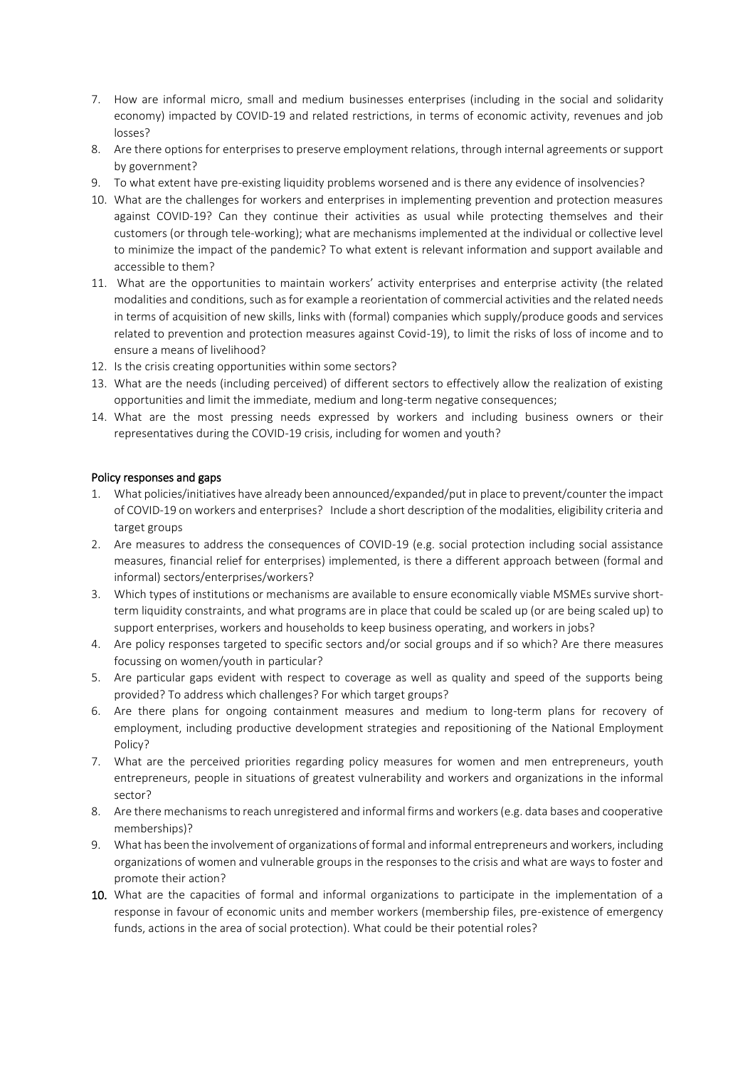- 7. How are informal micro, small and medium businesses enterprises (including in the social and solidarity economy) impacted by COVID-19 and related restrictions, in terms of economic activity, revenues and job losses?
- 8. Are there options for enterprises to preserve employment relations, through internal agreements or support by government?
- 9. To what extent have pre-existing liquidity problems worsened and is there any evidence of insolvencies?
- 10. What are the challenges for workers and enterprises in implementing prevention and protection measures against COVID-19? Can they continue their activities as usual while protecting themselves and their customers (or through tele-working); what are mechanisms implemented at the individual or collective level to minimize the impact of the pandemic? To what extent is relevant information and support available and accessible to them?
- 11. What are the opportunities to maintain workers' activity enterprises and enterprise activity (the related modalities and conditions, such as for example a reorientation of commercial activities and the related needs in terms of acquisition of new skills, links with (formal) companies which supply/produce goods and services related to prevention and protection measures against Covid-19), to limit the risks of loss of income and to ensure a means of livelihood?
- 12. Is the crisis creating opportunities within some sectors?
- 13. What are the needs (including perceived) of different sectors to effectively allow the realization of existing opportunities and limit the immediate, medium and long-term negative consequences;
- 14. What are the most pressing needs expressed by workers and including business owners or their representatives during the COVID-19 crisis, including for women and youth?

#### Policy responses and gaps

- 1. What policies/initiatives have already been announced/expanded/put in place to prevent/counter the impact of COVID-19 on workers and enterprises? Include a short description of the modalities, eligibility criteria and target groups
- 2. Are measures to address the consequences of COVID-19 (e.g. social protection including social assistance measures, financial relief for enterprises) implemented, is there a different approach between (formal and informal) sectors/enterprises/workers?
- 3. Which types of institutions or mechanisms are available to ensure economically viable MSMEs survive shortterm liquidity constraints, and what programs are in place that could be scaled up (or are being scaled up) to support enterprises, workers and households to keep business operating, and workers in jobs?
- 4. Are policy responses targeted to specific sectors and/or social groups and if so which? Are there measures focussing on women/youth in particular?
- 5. Are particular gaps evident with respect to coverage as well as quality and speed of the supports being provided? To address which challenges? For which target groups?
- 6. Are there plans for ongoing containment measures and medium to long-term plans for recovery of employment, including productive development strategies and repositioning of the National Employment Policy?
- 7. What are the perceived priorities regarding policy measures for women and men entrepreneurs, youth entrepreneurs, people in situations of greatest vulnerability and workers and organizations in the informal sector?
- 8. Are there mechanisms to reach unregistered and informal firms and workers (e.g. data bases and cooperative memberships)?
- 9. What has been the involvement of organizations of formal and informal entrepreneurs and workers, including organizations of women and vulnerable groups in the responses to the crisis and what are ways to foster and promote their action?
- 10. What are the capacities of formal and informal organizations to participate in the implementation of a response in favour of economic units and member workers (membership files, pre-existence of emergency funds, actions in the area of social protection). What could be their potential roles?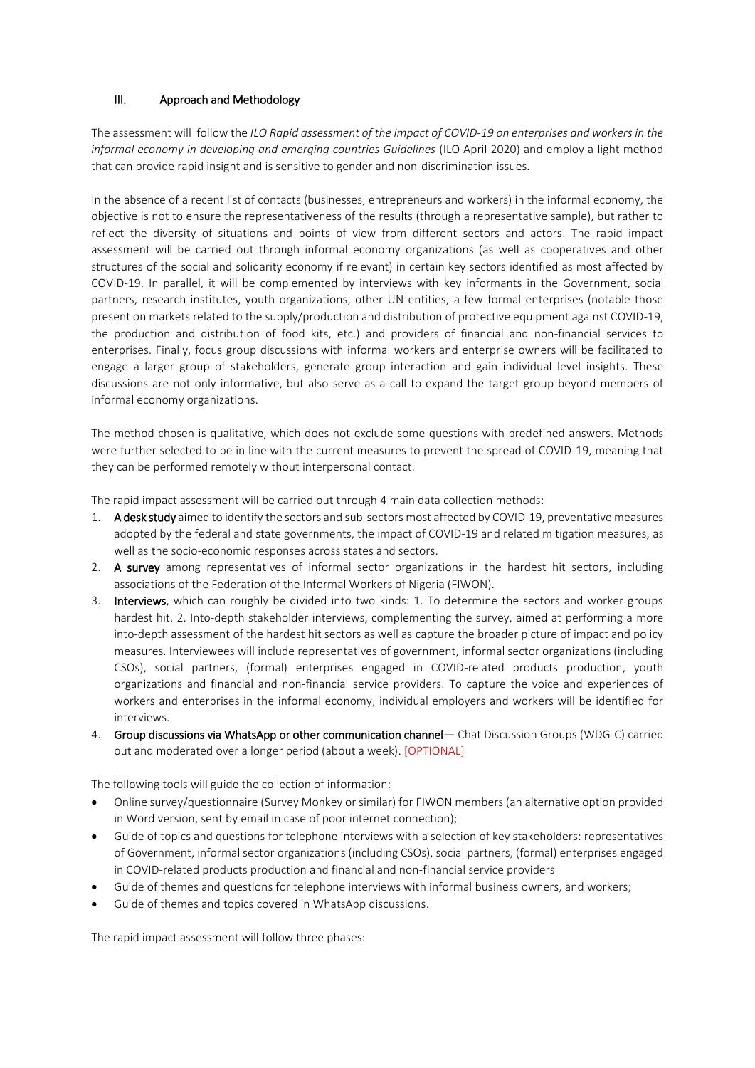# III. Approach and Methodology

The assessment will follow the *ILO Rapid assessment of the impact of COVID-19 on enterprises and workers in the informal economy in developing and emerging countries Guidelines* (ILO April 2020) and employ a light method that can provide rapid insight and is sensitive to gender and non-discrimination issues.

In the absence of a recent list of contacts (businesses, entrepreneurs and workers) in the informal economy, the objective is not to ensure the representativeness of the results (through a representative sample), but rather to reflect the diversity of situations and points of view from different sectors and actors. The rapid impact assessment will be carried out through informal economy organizations (as well as cooperatives and other structures of the social and solidarity economy if relevant) in certain key sectors identified as most affected by COVID-19. In parallel, it will be complemented by interviews with key informants in the Government, social partners, research institutes, youth organizations, other UN entities, a few formal enterprises (notable those present on markets related to the supply/production and distribution of protective equipment against COVID-19, the production and distribution of food kits, etc.) and providers of financial and non-financial services to enterprises. Finally, focus group discussions with informal workers and enterprise owners will be facilitated to engage a larger group of stakeholders, generate group interaction and gain individual level insights. These discussions are not only informative, but also serve as a call to expand the target group beyond members of informal economy organizations.

The method chosen is qualitative, which does not exclude some questions with predefined answers. Methods were further selected to be in line with the current measures to prevent the spread of COVID-19, meaning that they can be performed remotely without interpersonal contact.

The rapid impact assessment will be carried out through 4 main data collection methods:

- 1. A desk study aimed to identify the sectors and sub-sectors most affected by COVID-19, preventative measures adopted by the federal and state governments, the impact of COVID-19 and related mitigation measures, as well as the socio-economic responses across states and sectors.
- 2. A survey among representatives of informal sector organizations in the hardest hit sectors, including associations of the Federation of the Informal Workers of Nigeria (FIWON).
- 3. Interviews, which can roughly be divided into two kinds: 1. To determine the sectors and worker groups hardest hit. 2. Into-depth stakeholder interviews, complementing the survey, aimed at performing a more into-depth assessment of the hardest hit sectors as well as capture the broader picture of impact and policy measures. Interviewees will include representatives of government, informal sector organizations (including CSOs), social partners, (formal) enterprises engaged in COVID-related products production, youth organizations and financial and non-financial service providers. To capture the voice and experiences of workers and enterprises in the informal economy, individual employers and workers will be identified for interviews.
- 4. Group discussions via WhatsApp or other communication channel— Chat Discussion Groups (WDG-C) carried out and moderated over a longer period (about a week). [OPTIONAL]

The following tools will guide the collection of information:

- Online survey/questionnaire (Survey Monkey or similar) for FIWON members (an alternative option provided in Word version, sent by email in case of poor internet connection);
- Guide of topics and questions for telephone interviews with a selection of key stakeholders: representatives of Government, informal sector organizations (including CSOs), social partners, (formal) enterprises engaged in COVID-related products production and financial and non-financial service providers
- Guide of themes and questions for telephone interviews with informal business owners, and workers;
- Guide of themes and topics covered in WhatsApp discussions.

The rapid impact assessment will follow three phases: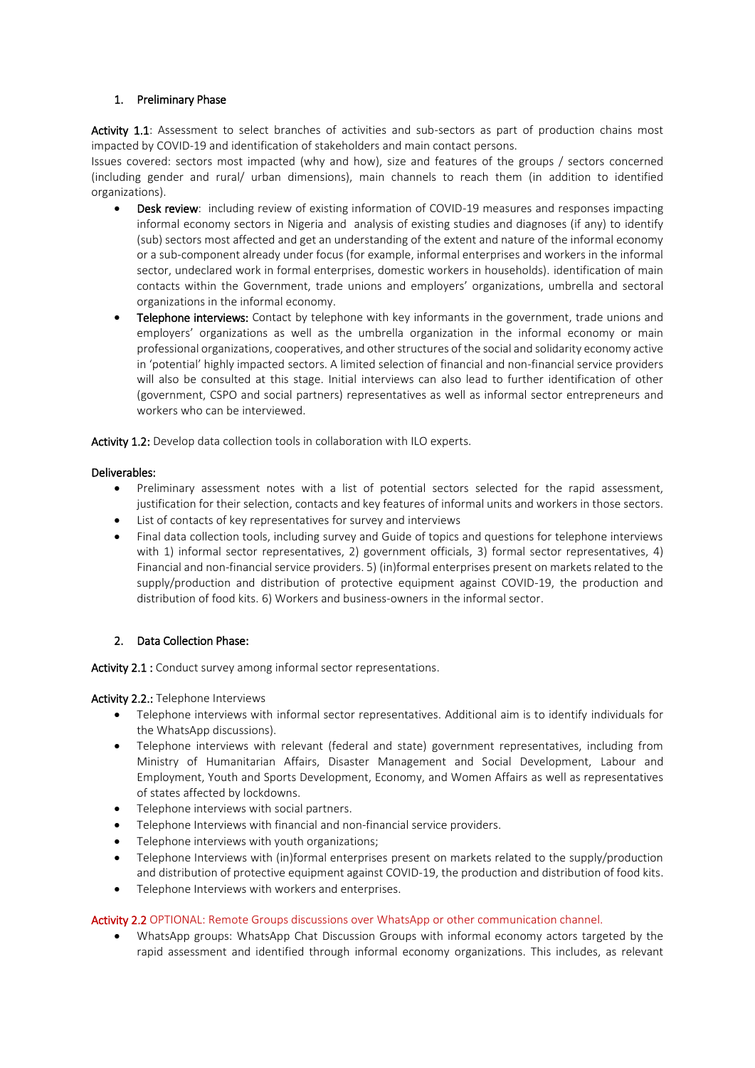#### 1. Preliminary Phase

Activity 1.1: Assessment to select branches of activities and sub-sectors as part of production chains most impacted by COVID-19 and identification of stakeholders and main contact persons.

Issues covered: sectors most impacted (why and how), size and features of the groups / sectors concerned (including gender and rural/ urban dimensions), main channels to reach them (in addition to identified organizations).

- Desk review: including review of existing information of COVID-19 measures and responses impacting informal economy sectors in Nigeria and analysis of existing studies and diagnoses (if any) to identify (sub) sectors most affected and get an understanding of the extent and nature of the informal economy or a sub-component already under focus (for example, informal enterprises and workers in the informal sector, undeclared work in formal enterprises, domestic workers in households). identification of main contacts within the Government, trade unions and employers' organizations, umbrella and sectoral organizations in the informal economy.
- Telephone interviews: Contact by telephone with key informants in the government, trade unions and employers' organizations as well as the umbrella organization in the informal economy or main professional organizations, cooperatives, and other structures of the social and solidarity economy active in 'potential' highly impacted sectors. A limited selection of financial and non-financial service providers will also be consulted at this stage. Initial interviews can also lead to further identification of other (government, CSPO and social partners) representatives as well as informal sector entrepreneurs and workers who can be interviewed.

Activity 1.2: Develop data collection tools in collaboration with ILO experts.

#### Deliverables:

- Preliminary assessment notes with a list of potential sectors selected for the rapid assessment, justification for their selection, contacts and key features of informal units and workers in those sectors.
- List of contacts of key representatives for survey and interviews
- Final data collection tools, including survey and Guide of topics and questions for telephone interviews with 1) informal sector representatives, 2) government officials, 3) formal sector representatives, 4) Financial and non-financial service providers. 5) (in)formal enterprises present on markets related to the supply/production and distribution of protective equipment against COVID-19, the production and distribution of food kits. 6) Workers and business-owners in the informal sector.

# 2. Data Collection Phase:

Activity 2.1 : Conduct survey among informal sector representations.

Activity 2.2.: Telephone Interviews

- Telephone interviews with informal sector representatives. Additional aim is to identify individuals for the WhatsApp discussions).
- Telephone interviews with relevant (federal and state) government representatives, including from Ministry of Humanitarian Affairs, Disaster Management and Social Development, Labour and Employment, Youth and Sports Development, Economy, and Women Affairs as well as representatives of states affected by lockdowns.
- Telephone interviews with social partners.
- Telephone Interviews with financial and non-financial service providers.
- Telephone interviews with youth organizations;
- Telephone Interviews with (in)formal enterprises present on markets related to the supply/production and distribution of protective equipment against COVID-19, the production and distribution of food kits.
- Telephone Interviews with workers and enterprises.

#### Activity 2.2 OPTIONAL: Remote Groups discussions over WhatsApp or other communication channel.

 WhatsApp groups: WhatsApp Chat Discussion Groups with informal economy actors targeted by the rapid assessment and identified through informal economy organizations. This includes, as relevant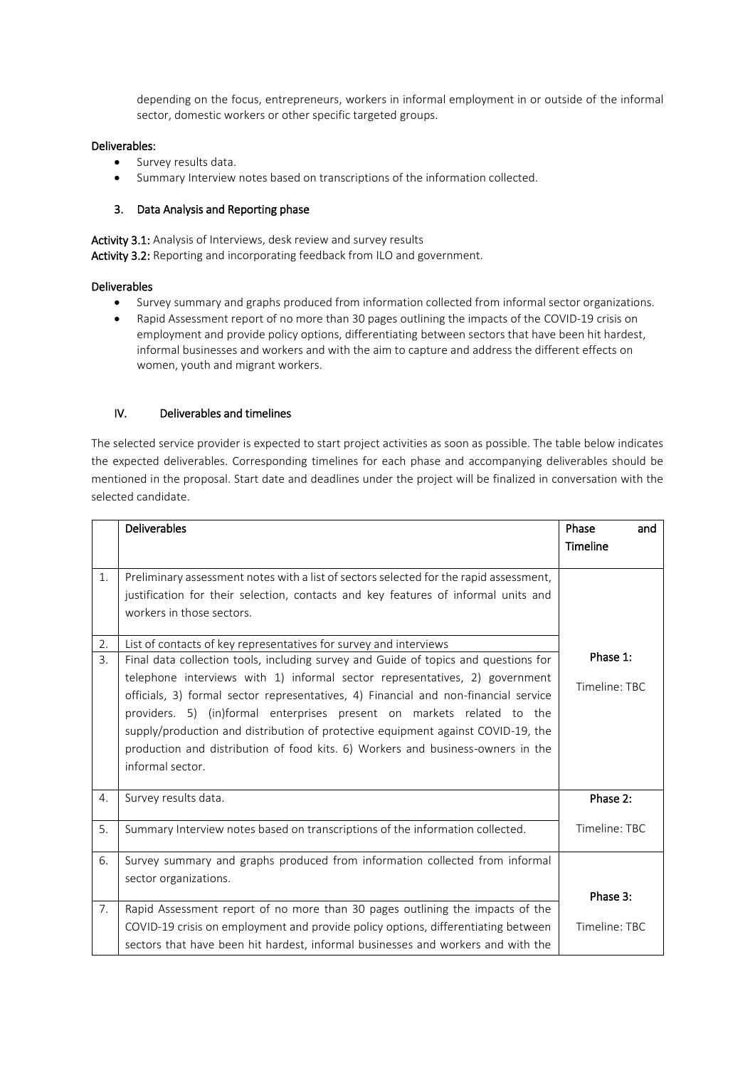depending on the focus, entrepreneurs, workers in informal employment in or outside of the informal sector, domestic workers or other specific targeted groups.

#### Deliverables:

- **.** Survey results data.
- Summary Interview notes based on transcriptions of the information collected.

#### 3. Data Analysis and Reporting phase

Activity 3.1: Analysis of Interviews, desk review and survey results Activity 3.2: Reporting and incorporating feedback from ILO and government.

#### Deliverables

- Survey summary and graphs produced from information collected from informal sector organizations.
- Rapid Assessment report of no more than 30 pages outlining the impacts of the COVID-19 crisis on employment and provide policy options, differentiating between sectors that have been hit hardest, informal businesses and workers and with the aim to capture and address the different effects on women, youth and migrant workers.

#### IV. Deliverables and timelines

The selected service provider is expected to start project activities as soon as possible. The table below indicates the expected deliverables. Corresponding timelines for each phase and accompanying deliverables should be mentioned in the proposal. Start date and deadlines under the project will be finalized in conversation with the selected candidate.

|    | <b>Deliverables</b>                                                                    | Phase<br>and  |
|----|----------------------------------------------------------------------------------------|---------------|
|    |                                                                                        | Timeline      |
|    |                                                                                        |               |
| 1. | Preliminary assessment notes with a list of sectors selected for the rapid assessment, |               |
|    | justification for their selection, contacts and key features of informal units and     |               |
|    | workers in those sectors.                                                              |               |
| 2. | List of contacts of key representatives for survey and interviews                      |               |
| 3. | Final data collection tools, including survey and Guide of topics and questions for    | Phase 1:      |
|    | telephone interviews with 1) informal sector representatives, 2) government            |               |
|    | officials, 3) formal sector representatives, 4) Financial and non-financial service    | Timeline: TBC |
|    | providers. 5) (in)formal enterprises present on markets related to the                 |               |
|    | supply/production and distribution of protective equipment against COVID-19, the       |               |
|    | production and distribution of food kits. 6) Workers and business-owners in the        |               |
|    | informal sector.                                                                       |               |
|    |                                                                                        |               |
| 4. | Survey results data.                                                                   | Phase 2:      |
|    |                                                                                        |               |
| 5. | Summary Interview notes based on transcriptions of the information collected.          | Timeline: TBC |
| 6. | Survey summary and graphs produced from information collected from informal            |               |
|    | sector organizations.                                                                  |               |
|    |                                                                                        | Phase 3:      |
| 7. | Rapid Assessment report of no more than 30 pages outlining the impacts of the          |               |
|    | COVID-19 crisis on employment and provide policy options, differentiating between      | Timeline: TBC |
|    | sectors that have been hit hardest, informal businesses and workers and with the       |               |